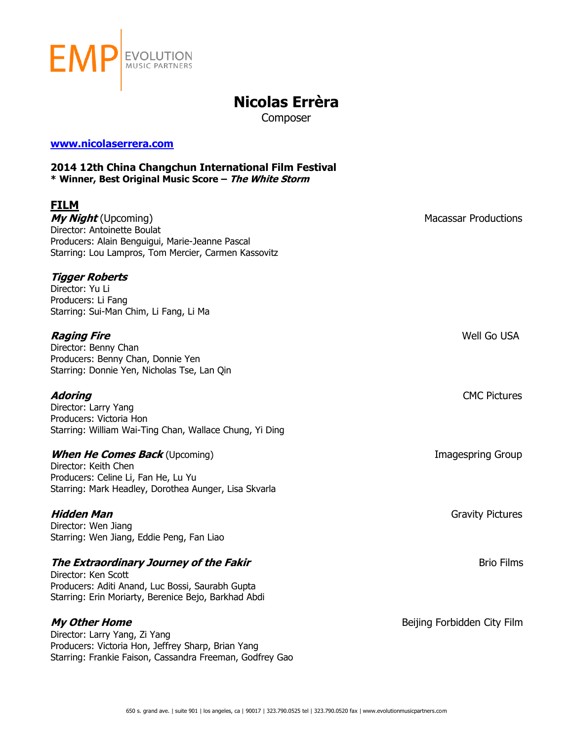

# **Nicolas Errèra**

Composer

### **[www.nicolaserrera.com](http://www.nicolaserrera.com/)**

### **2014 12th China Changchun International Film Festival \* Winner, Best Original Music Score – The White Storm**

## **FILM**

*My Night* (Upcoming) and the state of the state of the Macassar Productions of the Macassar Productions of the Macassar Productions of the Macassar Productions of the Macassar Productions of the Macassar Productions of Director: Antoinette Boulat Producers: Alain Benguigui, Marie-Jeanne Pascal Starring: Lou Lampros, Tom Mercier, Carmen Kassovitz

## **Tigger Roberts**

Director: Yu Li Producers: Li Fang Starring: Sui-Man Chim, Li Fang, Li Ma

## **Raging Fire** Well Go USA

Director: Benny Chan Producers: Benny Chan, Donnie Yen Starring: Donnie Yen, Nicholas Tse, Lan Qin

Director: Larry Yang Producers: Victoria Hon Starring: William Wai-Ting Chan, Wallace Chung, Yi Ding

## **When He Comes Back** (Upcoming) **IMAGES IMAGES IMAGES Imagespring Group Images Images Images IMAGES**

Director: Keith Chen Producers: Celine Li, Fan He, Lu Yu Starring: Mark Headley, Dorothea Aunger, Lisa Skvarla

Director: Wen Jiang Starring: Wen Jiang, Eddie Peng, Fan Liao

## **The Extraordinary Journey of the Fakir** Brio Films

Director: Ken Scott Producers: Aditi Anand, Luc Bossi, Saurabh Gupta Starring: Erin Moriarty, Berenice Bejo, Barkhad Abdi

Director: Larry Yang, Zi Yang Producers: Victoria Hon, Jeffrey Sharp, Brian Yang Starring: Frankie Faison, Cassandra Freeman, Godfrey Gao

**Adoring** CMC Pictures

**Hidden Man** Gravity Pictures

**My Other Home** Beijing Forbidden City Film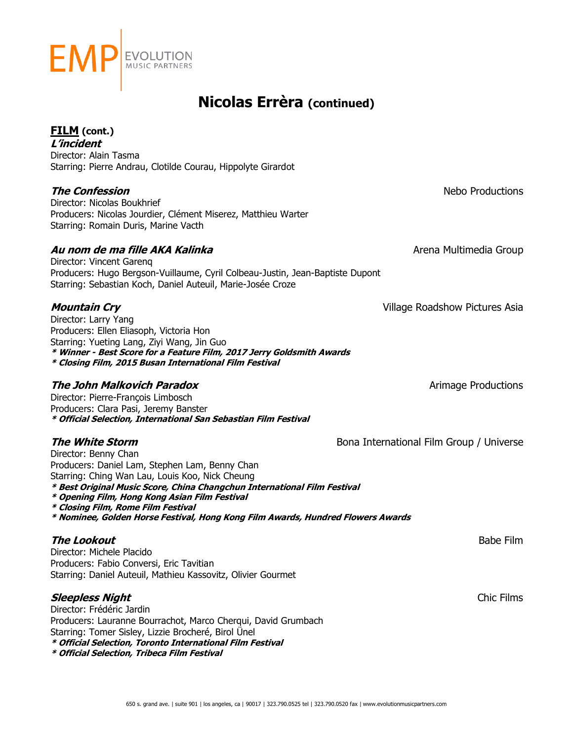

## **FILM (cont.)**

**L'incident**  Director: Alain Tasma Starring: Pierre Andrau, Clotilde Courau, Hippolyte Girardot

## **The Confession Nebo Productions**

Director: Nicolas Boukhrief Producers: Nicolas Jourdier, Clément Miserez, Matthieu Warter Starring: Romain Duris, Marine Vacth

## **Au nom de ma fille AKA Kalinka** Arena Multimedia Group

Director: Vincent Garenq Producers: Hugo Bergson-Vuillaume, Cyril Colbeau-Justin, Jean-Baptiste Dupont Starring: Sebastian Koch, Daniel Auteuil, Marie-Josée Croze

## **Mountain Cry** Village Roadshow Pictures Asia

Director: Larry Yang Producers: Ellen Eliasoph, Victoria Hon Starring: Yueting Lang, Ziyi Wang, Jin Guo **\* Winner - Best Score for a Feature Film, 2017 Jerry Goldsmith Awards \* Closing Film, 2015 Busan International Film Festival**

## **The John Malkovich Paradox Aristopher Constructions** Arimage Productions

Director: Pierre-François Limbosch Producers: Clara Pasi, Jeremy Banster **\* Official Selection, International San Sebastian Film Festival**

Director: Benny Chan Producers: Daniel Lam, Stephen Lam, Benny Chan Starring: Ching Wan Lau, Louis Koo, Nick Cheung **\* Best Original Music Score, China Changchun International Film Festival**

- **\* Opening Film, Hong Kong Asian Film Festival**
- **\* Closing Film, Rome Film Festival**
- **\* Nominee, Golden Horse Festival, Hong Kong Film Awards, Hundred Flowers Awards**

## **The Lookout** Babe Film

Director: Michele Placido Producers: Fabio Conversi, Eric Tavitian Starring: Daniel Auteuil, Mathieu Kassovitz, Olivier Gourmet

## **Sleepless Night** Chic Films

Director: Frédéric Jardin Producers: Lauranne Bourrachot, Marco Cherqui, David Grumbach Starring: Tomer Sisley, Lizzie Brocheré, Birol Ünel **\* Official Selection, Toronto International Film Festival \* Official Selection, Tribeca Film Festival**

**The White Storm Bona International Film Group / Universe** 

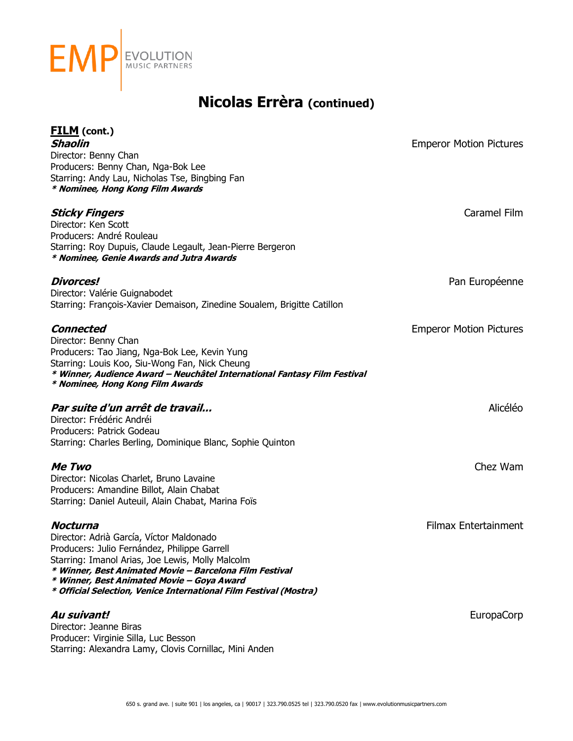

| <b>FILM</b> (cont.)                                                                                                        |                                |
|----------------------------------------------------------------------------------------------------------------------------|--------------------------------|
| <b>Shaolin</b>                                                                                                             | <b>Emperor Motion Pictures</b> |
| Director: Benny Chan                                                                                                       |                                |
| Producers: Benny Chan, Nga-Bok Lee                                                                                         |                                |
| Starring: Andy Lau, Nicholas Tse, Bingbing Fan<br>* Nominee, Hong Kong Film Awards                                         |                                |
|                                                                                                                            |                                |
| <b>Sticky Fingers</b>                                                                                                      | Caramel Film                   |
| Director: Ken Scott                                                                                                        |                                |
| Producers: André Rouleau<br>Starring: Roy Dupuis, Claude Legault, Jean-Pierre Bergeron                                     |                                |
| * Nominee, Genie Awards and Jutra Awards                                                                                   |                                |
| <b>Divorces!</b>                                                                                                           | Pan Européenne                 |
| Director: Valérie Guignabodet                                                                                              |                                |
| Starring: François-Xavier Demaison, Zinedine Soualem, Brigitte Catillon                                                    |                                |
| Connected                                                                                                                  | <b>Emperor Motion Pictures</b> |
| Director: Benny Chan                                                                                                       |                                |
| Producers: Tao Jiang, Nga-Bok Lee, Kevin Yung                                                                              |                                |
| Starring: Louis Koo, Siu-Wong Fan, Nick Cheung<br>* Winner, Audience Award - Neuchâtel International Fantasy Film Festival |                                |
| * Nominee, Hong Kong Film Awards                                                                                           |                                |
| Par suite d'un arrêt de travail                                                                                            | Alicéléo                       |
| Director: Frédéric Andréi                                                                                                  |                                |
| Producers: Patrick Godeau                                                                                                  |                                |
| Starring: Charles Berling, Dominique Blanc, Sophie Quinton                                                                 |                                |
| <i>Me Two</i>                                                                                                              | Chez Wam                       |
| Director: Nicolas Charlet, Bruno Lavaine                                                                                   |                                |
| Producers: Amandine Billot, Alain Chabat                                                                                   |                                |
| Starring: Daniel Auteuil, Alain Chabat, Marina Foïs                                                                        |                                |
| Nocturna                                                                                                                   | <b>Filmax Entertainment</b>    |
| Director: Adrià García, Víctor Maldonado                                                                                   |                                |
| Producers: Julio Fernández, Philippe Garrell                                                                               |                                |
| Starring: Imanol Arias, Joe Lewis, Molly Malcolm<br>* Winner, Best Animated Movie - Barcelona Film Festival                |                                |
| * Winner, Best Animated Movie - Goya Award                                                                                 |                                |
| * Official Selection, Venice International Film Festival (Mostra)                                                          |                                |
| Au suivant!                                                                                                                | <b>EuropaCorp</b>              |
| Director: Jeanne Biras                                                                                                     |                                |
| Producer: Virginie Silla, Luc Besson                                                                                       |                                |
| Starring: Alexandra Lamy, Clovis Cornillac, Mini Anden                                                                     |                                |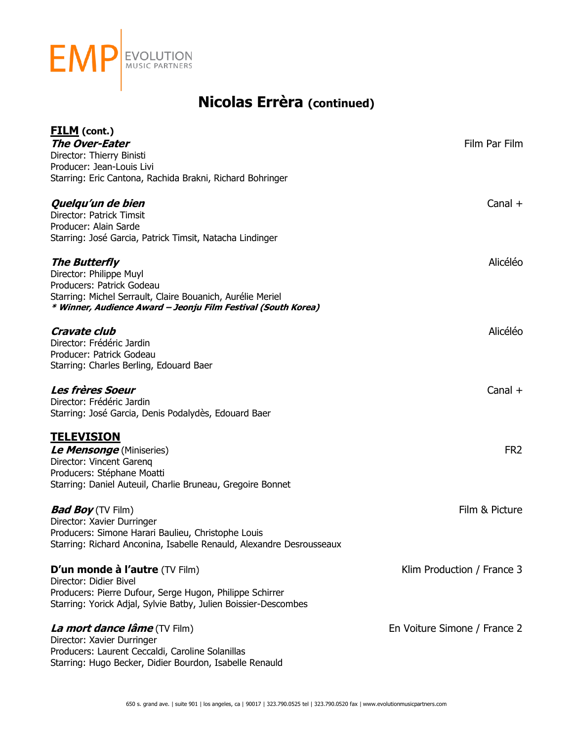

| <b>FILM</b> (cont.)<br><b>The Over-Eater</b><br>Director: Thierry Binisti<br>Producer: Jean-Louis Livi<br>Starring: Eric Cantona, Rachida Brakni, Richard Bohringer                                         | Film Par Film                |
|-------------------------------------------------------------------------------------------------------------------------------------------------------------------------------------------------------------|------------------------------|
| Quelqu'un de bien<br>Director: Patrick Timsit<br>Producer: Alain Sarde<br>Starring: José Garcia, Patrick Timsit, Natacha Lindinger                                                                          | Canal $+$                    |
| <b>The Butterfly</b><br>Director: Philippe Muyl<br>Producers: Patrick Godeau<br>Starring: Michel Serrault, Claire Bouanich, Aurélie Meriel<br>* Winner, Audience Award - Jeonju Film Festival (South Korea) | Alicéléo                     |
| <b>Cravate club</b><br>Director: Frédéric Jardin<br>Producer: Patrick Godeau<br>Starring: Charles Berling, Edouard Baer                                                                                     | Alicéléo                     |
| <b>Les frères Soeur</b><br>Director: Frédéric Jardin<br>Starring: José Garcia, Denis Podalydès, Edouard Baer                                                                                                | Canal $+$                    |
| <b>TELEVISION</b><br>Le Mensonge (Miniseries)<br>Director: Vincent Gareng<br>Producers: Stéphane Moatti<br>Starring: Daniel Auteuil, Charlie Bruneau, Gregoire Bonnet                                       | FR <sub>2</sub>              |
| <b>Bad Boy</b> (TV Film)<br>Director: Xavier Durringer<br>Producers: Simone Harari Baulieu, Christophe Louis<br>Starring: Richard Anconina, Isabelle Renauld, Alexandre Desrousseaux                        | Film & Picture               |
| D'un monde à l'autre (TV Film)<br>Director: Didier Bivel<br>Producers: Pierre Dufour, Serge Hugon, Philippe Schirrer<br>Starring: Yorick Adjal, Sylvie Batby, Julien Boissier-Descombes                     | Klim Production / France 3   |
| <i>La mort dance lâme</i> (TV Film)<br>Director: Xavier Durringer<br>Producers: Laurent Ceccaldi, Caroline Solanillas<br>Starring: Hugo Becker, Didier Bourdon, Isabelle Renauld                            | En Voiture Simone / France 2 |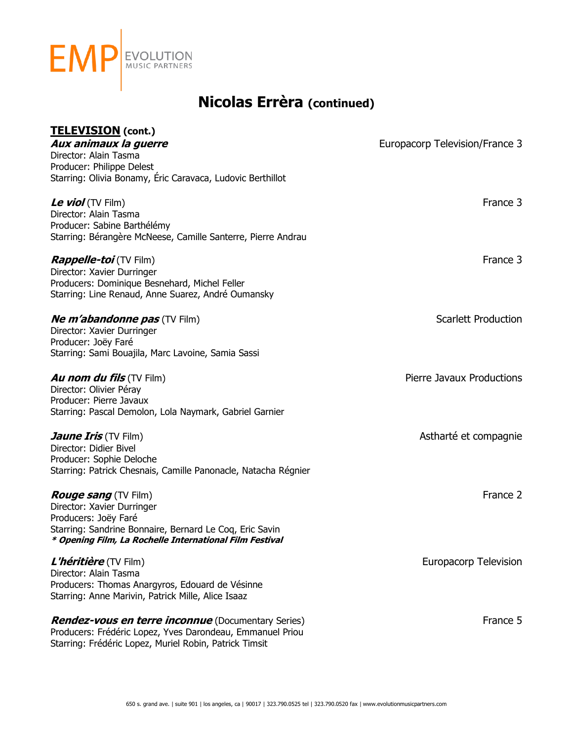

## **TELEVISION (cont.)**

| <u>I ELEVISIUN</u> (CONT.)<br>Aux animaux la guerre<br>Director: Alain Tasma<br>Producer: Philippe Delest<br>Starring: Olivia Bonamy, Éric Caravaca, Ludovic Berthillot                                 | Europacorp Television/France 3 |
|---------------------------------------------------------------------------------------------------------------------------------------------------------------------------------------------------------|--------------------------------|
| Le viol (TV Film)<br>Director: Alain Tasma<br>Producer: Sabine Barthélémy<br>Starring: Bérangère McNeese, Camille Santerre, Pierre Andrau                                                               | France 3                       |
| <i>Rappelle-toi</i> (TV Film)<br>Director: Xavier Durringer<br>Producers: Dominique Besnehard, Michel Feller<br>Starring: Line Renaud, Anne Suarez, André Oumansky                                      | France 3                       |
| <b>Ne m'abandonne pas</b> (TV Film)<br>Director: Xavier Durringer<br>Producer: Joëy Faré<br>Starring: Sami Bouajila, Marc Lavoine, Samia Sassi                                                          | <b>Scarlett Production</b>     |
| <b>Au nom du fils</b> (TV Film)<br>Director: Olivier Péray<br>Producer: Pierre Javaux<br>Starring: Pascal Demolon, Lola Naymark, Gabriel Garnier                                                        | Pierre Javaux Productions      |
| <b><i>Jaune Iris</i></b> (TV Film)<br>Director: Didier Bivel<br>Producer: Sophie Deloche<br>Starring: Patrick Chesnais, Camille Panonacle, Natacha Régnier                                              | Astharté et compagnie          |
| <b>Rouge sang</b> (TV Film)<br>Director: Xavier Durringer<br>Producers: Joëy Faré<br>Starring: Sandrine Bonnaire, Bernard Le Coq, Eric Savin<br>* Opening Film, La Rochelle International Film Festival | France 2                       |
| L'héritière (TV Film)<br>Director: Alain Tasma<br>Producers: Thomas Anargyros, Edouard de Vésinne<br>Starring: Anne Marivin, Patrick Mille, Alice Isaaz                                                 | <b>Europacorp Television</b>   |
| <b>Rendez-vous en terre inconnue</b> (Documentary Series)<br>Producers: Frédéric Lopez, Yves Darondeau, Emmanuel Priou                                                                                  | France 5                       |

Starring: Frédéric Lopez, Muriel Robin, Patrick Timsit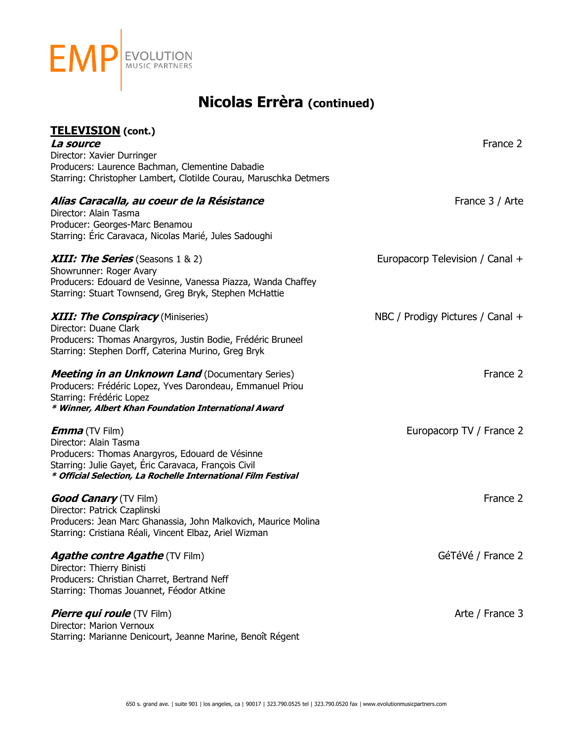

| TELEVISION (cont.)                                                                                                    |                                  |
|-----------------------------------------------------------------------------------------------------------------------|----------------------------------|
| <i>La source</i>                                                                                                      | France 2                         |
| Director: Xavier Durringer                                                                                            |                                  |
| Producers: Laurence Bachman, Clementine Dabadie                                                                       |                                  |
| Starring: Christopher Lambert, Clotilde Courau, Maruschka Detmers                                                     |                                  |
| Alias Caracalla, au coeur de la Résistance                                                                            | France 3 / Arte                  |
| Director: Alain Tasma                                                                                                 |                                  |
| Producer: Georges-Marc Benamou                                                                                        |                                  |
| Starring: Éric Caravaca, Nicolas Marié, Jules Sadoughi                                                                |                                  |
| <b>XIII: The Series</b> (Seasons 1 & 2)                                                                               | Europacorp Television / Canal +  |
| Showrunner: Roger Avary                                                                                               |                                  |
| Producers: Edouard de Vesinne, Vanessa Piazza, Wanda Chaffey                                                          |                                  |
| Starring: Stuart Townsend, Greg Bryk, Stephen McHattie                                                                |                                  |
| <b>XIII: The Conspiracy</b> (Miniseries)                                                                              | NBC / Prodigy Pictures / Canal + |
| Director: Duane Clark                                                                                                 |                                  |
| Producers: Thomas Anargyros, Justin Bodie, Frédéric Bruneel                                                           |                                  |
| Starring: Stephen Dorff, Caterina Murino, Greg Bryk                                                                   |                                  |
| <b>Meeting in an Unknown Land</b> (Documentary Series)                                                                | France 2                         |
| Producers: Frédéric Lopez, Yves Darondeau, Emmanuel Priou                                                             |                                  |
| Starring: Frédéric Lopez                                                                                              |                                  |
| * Winner, Albert Khan Foundation International Award                                                                  |                                  |
| <b>Emma</b> (TV Film)                                                                                                 | Europacorp TV / France 2         |
| Director: Alain Tasma                                                                                                 |                                  |
| Producers: Thomas Anargyros, Edouard de Vésinne                                                                       |                                  |
| Starring: Julie Gayet, Éric Caravaca, François Civil<br>* Official Selection, La Rochelle International Film Festival |                                  |
| <b>Good Canary</b> (TV Film)                                                                                          | France 2                         |
| Director: Patrick Czaplinski                                                                                          |                                  |
| Producers: Jean Marc Ghanassia, John Malkovich, Maurice Molina                                                        |                                  |
| Starring: Cristiana Réali, Vincent Elbaz, Ariel Wizman                                                                |                                  |
|                                                                                                                       |                                  |
| <b>Agathe contre Agathe (TV Film)</b>                                                                                 | GéTéVé / France 2                |
| Director: Thierry Binisti                                                                                             |                                  |
| Producers: Christian Charret, Bertrand Neff                                                                           |                                  |
| Starring: Thomas Jouannet, Féodor Atkine                                                                              |                                  |
| <b>Pierre qui roule</b> (TV Film)                                                                                     | Arte / France 3                  |
| Director: Marion Vernoux                                                                                              |                                  |
| Starring: Marianne Denicourt, Jeanne Marine, Benoît Régent                                                            |                                  |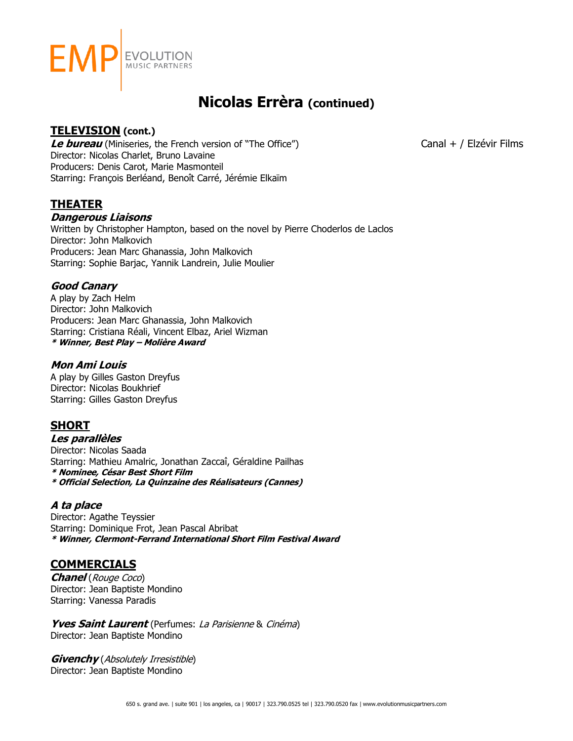

## **TELEVISION (cont.)**

**Le bureau** (Miniseries, the French version of "The Office") Canal + / Elzévir Films Director: Nicolas Charlet, Bruno Lavaine Producers: Denis Carot, Marie Masmonteil Starring: François Berléand, Benoît Carré, Jérémie Elkaïm

**THEATER**

## **Dangerous Liaisons**

Written by Christopher Hampton, based on the novel by Pierre Choderlos de Laclos Director: John Malkovich Producers: Jean Marc Ghanassia, John Malkovich Starring: Sophie Barjac, Yannik Landrein, Julie Moulier

## **Good Canary**

A play by Zach Helm Director: John Malkovich Producers: Jean Marc Ghanassia, John Malkovich Starring: Cristiana Réali, Vincent Elbaz, Ariel Wizman **\* Winner, Best Play – Molière Award**

## **Mon Ami Louis**

A play by Gilles Gaston Dreyfus Director: Nicolas Boukhrief Starring: Gilles Gaston Dreyfus

## **SHORT**

**Les parallèles**

Director: Nicolas Saada Starring: Mathieu Amalric, Jonathan Zaccaî, Géraldine Pailhas **\* Nominee, César Best Short Film \* Official Selection, La Quinzaine des Réalisateurs (Cannes)**

## **A ta place**

Director: Agathe Teyssier Starring: Dominique Frot, Jean Pascal Abribat **\* Winner, Clermont-Ferrand International Short Film Festival Award**

## **COMMERCIALS**

**Chanel** (Rouge Coco) Director: Jean Baptiste Mondino Starring: Vanessa Paradis

**Yves Saint Laurent** (Perfumes: La Parisienne & Cinéma) Director: Jean Baptiste Mondino

**Givenchy** (Absolutely Irresistible) Director: Jean Baptiste Mondino